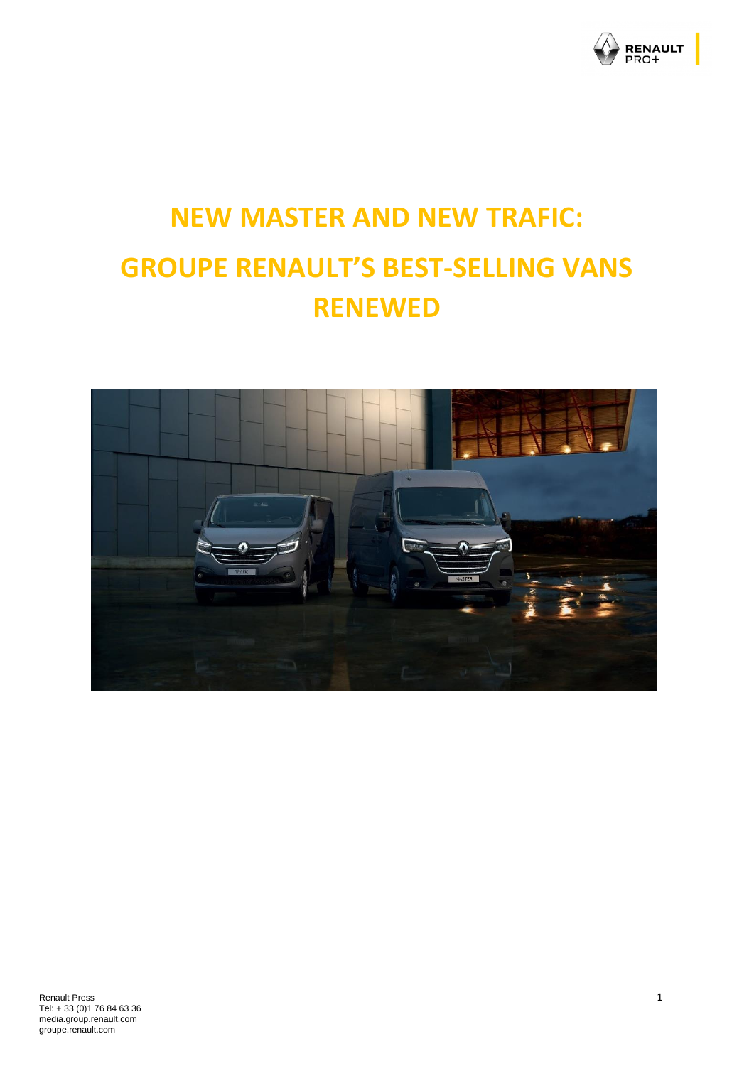

# **NEW MASTER AND NEW TRAFIC: GROUPE RENAULT'S BEST-SELLING VANS RENEWED**

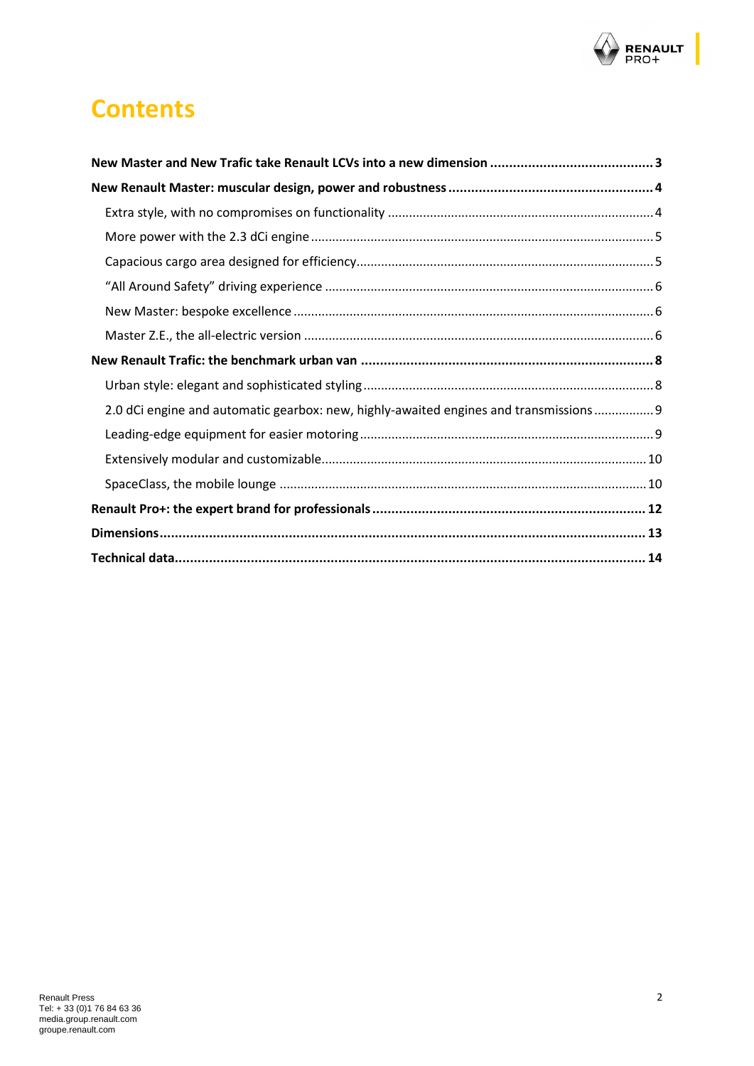

## **Contents**

| 2.0 dCi engine and automatic gearbox: new, highly-awaited engines and transmissions 9 |  |
|---------------------------------------------------------------------------------------|--|
|                                                                                       |  |
|                                                                                       |  |
|                                                                                       |  |
|                                                                                       |  |
|                                                                                       |  |
|                                                                                       |  |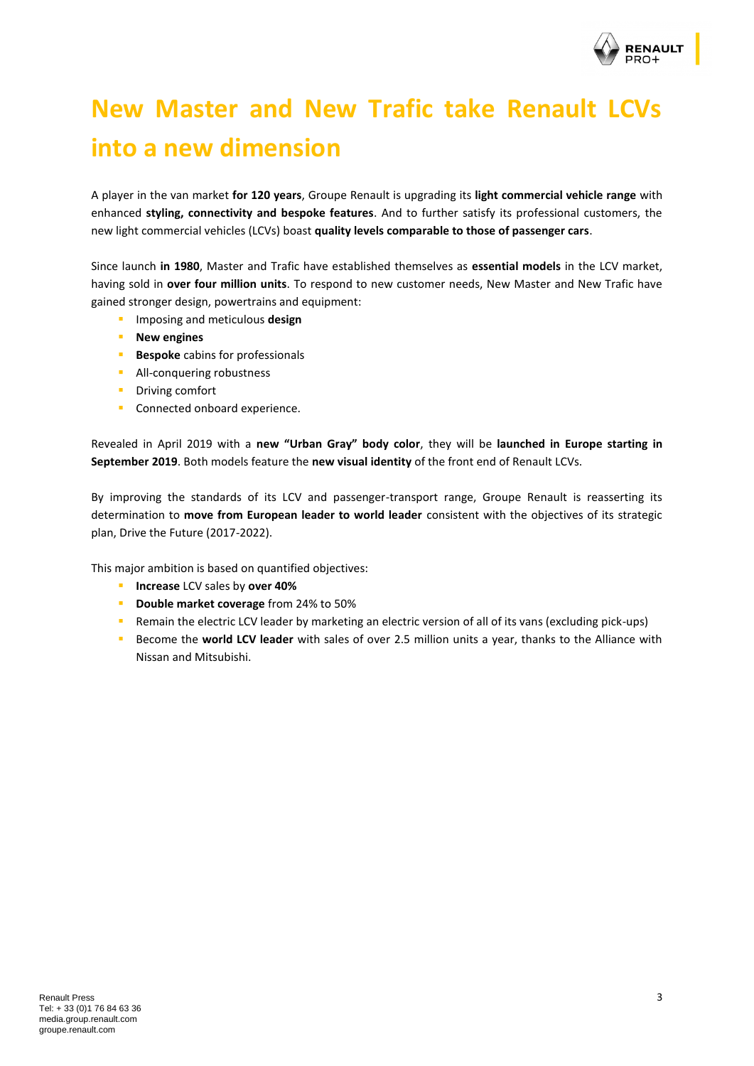

## <span id="page-2-0"></span>**New Master and New Trafic take Renault LCVs into a new dimension**

A player in the van market **for 120 years**, Groupe Renault is upgrading its **light commercial vehicle range** with enhanced **styling, connectivity and bespoke features**. And to further satisfy its professional customers, the new light commercial vehicles (LCVs) boast **quality levels comparable to those of passenger cars**.

Since launch **in 1980**, Master and Trafic have established themselves as **essential models** in the LCV market, having sold in **over four million units**. To respond to new customer needs, New Master and New Trafic have gained stronger design, powertrains and equipment:

- **EXECUTE:** Imposing and meticulous **design**
- **New engines**
- **Bespoke** cabins for professionals
- **E** All-conquering robustness
- Driving comfort
- Connected onboard experience.

Revealed in April 2019 with a **new "Urban Gray" body color**, they will be **launched in Europe starting in September 2019**. Both models feature the **new visual identity** of the front end of Renault LCVs.

By improving the standards of its LCV and passenger-transport range, Groupe Renault is reasserting its determination to **move from European leader to world leader** consistent with the objectives of its strategic plan, Drive the Future (2017-2022).

This major ambition is based on quantified objectives:

- **Increase** LCV sales by **over 40%**
- **Double market coverage** from 24% to 50%
- Remain the electric LCV leader by marketing an electric version of all of its vans (excluding pick-ups)
- **EXECOME SECOME SECOME A LCC I LEADER** with sales of over 2.5 million units a year, thanks to the Alliance with Nissan and Mitsubishi.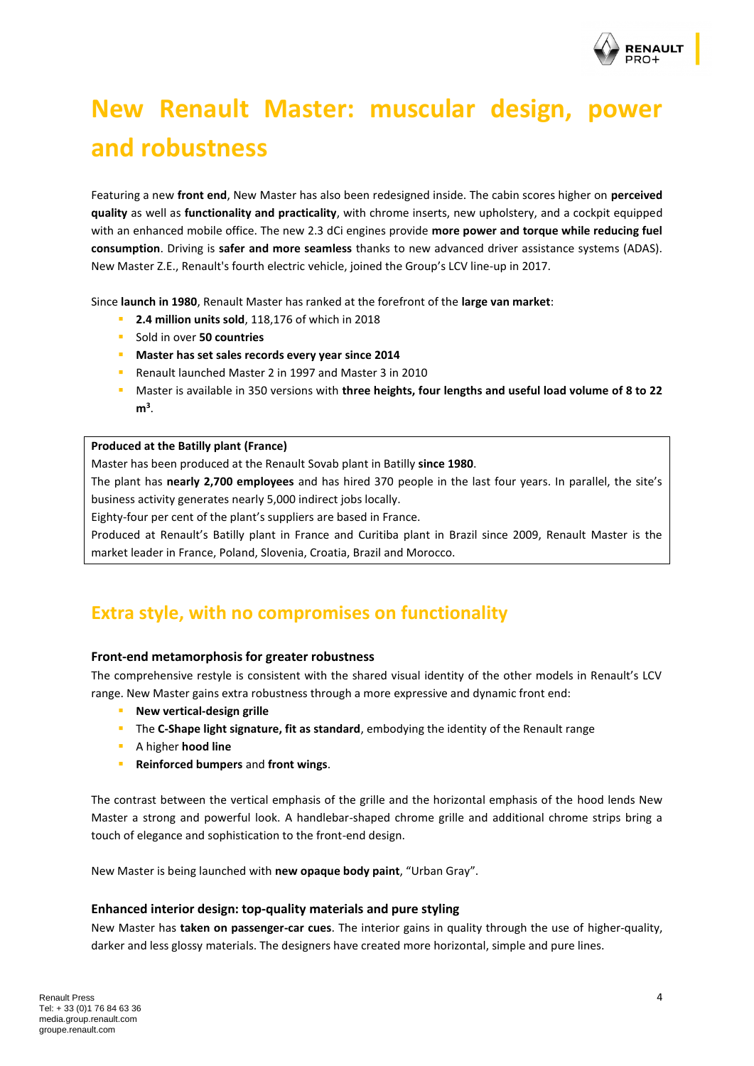

## <span id="page-3-0"></span>**New Renault Master: muscular design, power and robustness**

Featuring a new **front end**, New Master has also been redesigned inside. The cabin scores higher on **perceived quality** as well as **functionality and practicality**, with chrome inserts, new upholstery, and a cockpit equipped with an enhanced mobile office. The new 2.3 dCi engines provide **more power and torque while reducing fuel consumption**. Driving is **safer and more seamless** thanks to new advanced driver assistance systems (ADAS). New Master Z.E., Renault's fourth electric vehicle, joined the Group's LCV line-up in 2017.

Since **launch in 1980**, Renault Master has ranked at the forefront of the **large van market**:

- **2.4 million units sold**, 118,176 of which in 2018
- Sold in over **50 countries**
- **Master has set sales records every year since 2014**
- Renault launched Master 2 in 1997 and Master 3 in 2010
- Master is available in 350 versions with **three heights, four lengths and useful load volume of 8 to 22 m<sup>3</sup>** .

#### **Produced at the Batilly plant (France)**

Master has been produced at the Renault Sovab plant in Batilly **since 1980**.

The plant has **nearly 2,700 employees** and has hired 370 people in the last four years. In parallel, the site's business activity generates nearly 5,000 indirect jobs locally.

Eighty-four per cent of the plant's suppliers are based in France.

Produced at Renault's Batilly plant in France and Curitiba plant in Brazil since 2009, Renault Master is the market leader in France, Poland, Slovenia, Croatia, Brazil and Morocco.

### <span id="page-3-1"></span>**Extra style, with no compromises on functionality**

#### **Front-end metamorphosis for greater robustness**

The comprehensive restyle is consistent with the shared visual identity of the other models in Renault's LCV range. New Master gains extra robustness through a more expressive and dynamic front end:

- **New vertical-design grille**
- **·** The **C-Shape light signature, fit as standard**, embodying the identity of the Renault range
- A higher **hood line**
- **Reinforced bumpers** and **front wings**.

The contrast between the vertical emphasis of the grille and the horizontal emphasis of the hood lends New Master a strong and powerful look. A handlebar-shaped chrome grille and additional chrome strips bring a touch of elegance and sophistication to the front-end design.

New Master is being launched with **new opaque body paint**, "Urban Gray".

#### **Enhanced interior design: top-quality materials and pure styling**

New Master has **taken on passenger-car cues**. The interior gains in quality through the use of higher-quality, darker and less glossy materials. The designers have created more horizontal, simple and pure lines.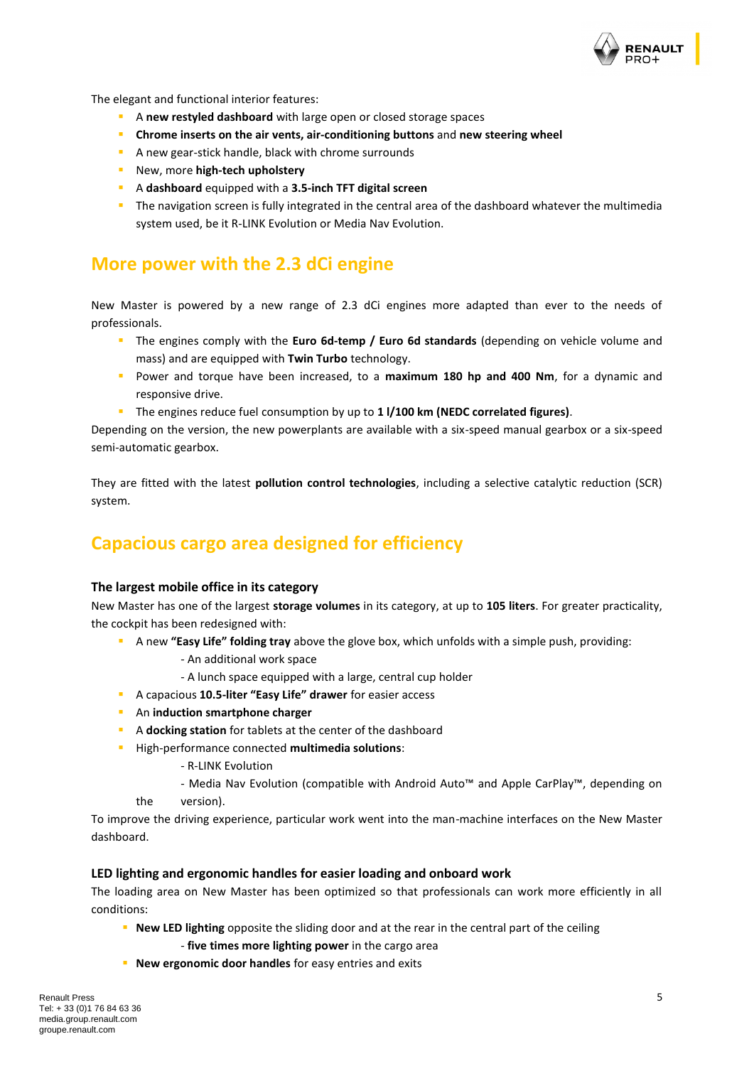

The elegant and functional interior features:

- **E** A new restyled dashboard with large open or closed storage spaces
- **Chrome inserts on the air vents, air-conditioning buttons** and **new steering wheel**
- A new gear-stick handle, black with chrome surrounds
- New, more **high-tech upholstery**
- A **dashboard** equipped with a **3.5-inch TFT digital screen**
- **•** The navigation screen is fully integrated in the central area of the dashboard whatever the multimedia system used, be it R-LINK Evolution or Media Nav Evolution.

### <span id="page-4-0"></span>**More power with the 2.3 dCi engine**

New Master is powered by a new range of 2.3 dCi engines more adapted than ever to the needs of professionals.

- The engines comply with the Euro 6d-temp / Euro 6d standards (depending on vehicle volume and mass) and are equipped with **Twin Turbo** technology.
- Power and torque have been increased, to a **maximum 180 hp and 400 Nm**, for a dynamic and responsive drive.
- The engines reduce fuel consumption by up to **1 l/100 km (NEDC correlated figures)**.

Depending on the version, the new powerplants are available with a six-speed manual gearbox or a six-speed semi-automatic gearbox.

They are fitted with the latest **pollution control technologies**, including a selective catalytic reduction (SCR) system.

### <span id="page-4-1"></span>**Capacious cargo area designed for efficiency**

#### **The largest mobile office in its category**

New Master has one of the largest **storage volumes** in its category, at up to **105 liters**. For greater practicality, the cockpit has been redesigned with:

- **EXECT A new "Easy Life" folding tray** above the glove box, which unfolds with a simple push, providing:
	- An additional work space
	- A lunch space equipped with a large, central cup holder
- A capacious **10.5-liter "Easy Life" drawer** for easier access
- An **induction smartphone charger**
- A **docking station** for tablets at the center of the dashboard
- High-performance connected **multimedia solutions**:
	- R-LINK Evolution
	- Media Nav Evolution (compatible with Android Auto™ and Apple CarPlay™, depending on the version).

To improve the driving experience, particular work went into the man-machine interfaces on the New Master dashboard.

#### **LED lighting and ergonomic handles for easier loading and onboard work**

The loading area on New Master has been optimized so that professionals can work more efficiently in all conditions:

- **New LED lighting** opposite the sliding door and at the rear in the central part of the ceiling
	- **five times more lighting power** in the cargo area
- **New ergonomic door handles** for easy entries and exits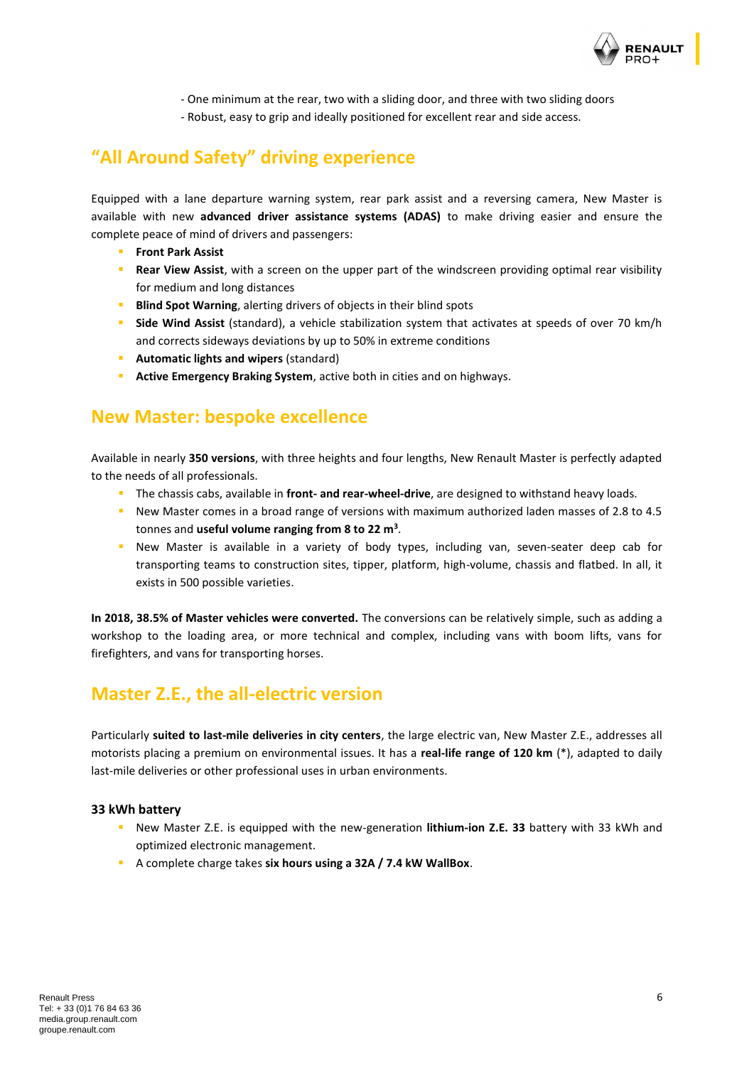

- One minimum at the rear, two with a sliding door, and three with two sliding doors - Robust, easy to grip and ideally positioned for excellent rear and side access.

## <span id="page-5-0"></span>**"All Around Safety" driving experience**

Equipped with a lane departure warning system, rear park assist and a reversing camera, New Master is available with new **advanced driver assistance systems (ADAS)** to make driving easier and ensure the complete peace of mind of drivers and passengers:

- **Front Park Assist**
- **Rear View Assist**, with a screen on the upper part of the windscreen providing optimal rear visibility for medium and long distances
- **E** Blind Spot Warning, alerting drivers of objects in their blind spots
- **E** Side Wind Assist (standard), a vehicle stabilization system that activates at speeds of over 70 km/h and corrects sideways deviations by up to 50% in extreme conditions
- **Automatic lights and wipers** (standard)
- Active Emergency Braking System, active both in cities and on highways.

### <span id="page-5-1"></span>**New Master: bespoke excellence**

Available in nearly **350 versions**, with three heights and four lengths, New Renault Master is perfectly adapted to the needs of all professionals.

- The chassis cabs, available in **front- and rear-wheel-drive**, are designed to withstand heavy loads.
- New Master comes in a broad range of versions with maximum authorized laden masses of 2.8 to 4.5 tonnes and **useful volume ranging from 8 to 22 m<sup>3</sup>** .
- **E** New Master is available in a variety of body types, including van, seven-seater deep cab for transporting teams to construction sites, tipper, platform, high-volume, chassis and flatbed. In all, it exists in 500 possible varieties.

**In 2018, 38.5% of Master vehicles were converted.** The conversions can be relatively simple, such as adding a workshop to the loading area, or more technical and complex, including vans with boom lifts, vans for firefighters, and vans for transporting horses.

### <span id="page-5-2"></span>**Master Z.E., the all-electric version**

Particularly **suited to last-mile deliveries in city centers**, the large electric van, New Master Z.E., addresses all motorists placing a premium on environmental issues. It has a **real-life range of 120 km** (\*), adapted to daily last-mile deliveries or other professional uses in urban environments.

#### **33 kWh battery**

- New Master Z.E. is equipped with the new-generation **lithium-ion Z.E. 33** battery with 33 kWh and optimized electronic management.
- A complete charge takes **six hours using a 32A / 7.4 kW WallBox**.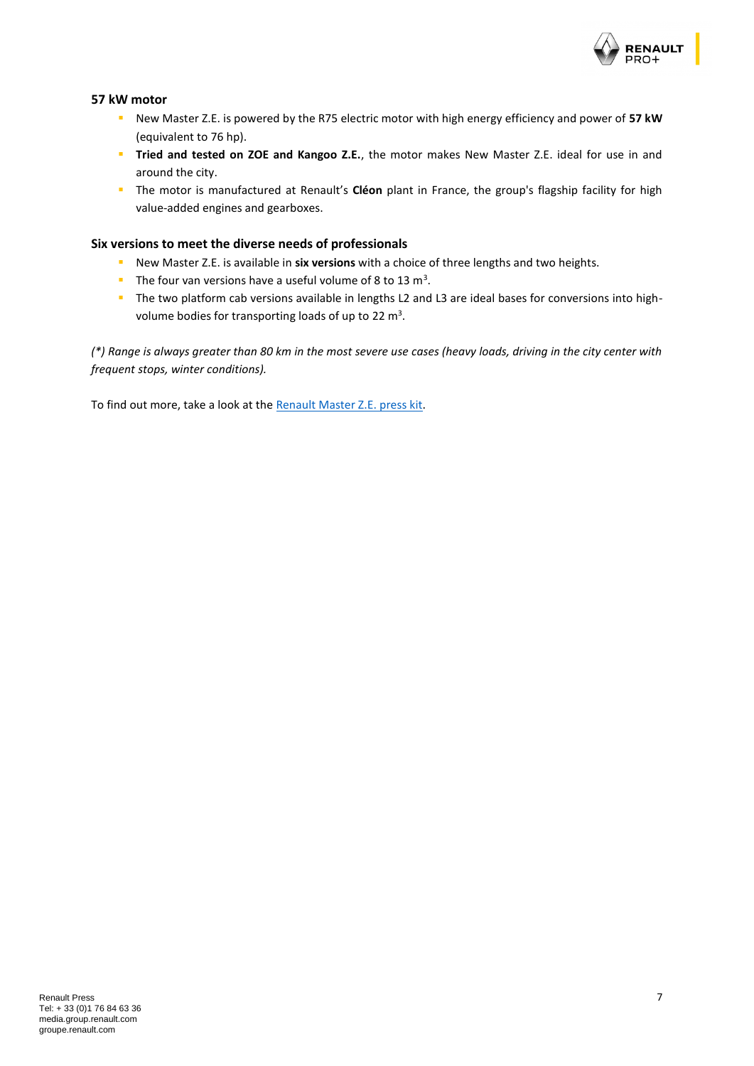

#### **57 kW motor**

- New Master Z.E. is powered by the R75 electric motor with high energy efficiency and power of **57 kW** (equivalent to 76 hp).
- **Tiried and tested on ZOE and Kangoo Z.E.**, the motor makes New Master Z.E. ideal for use in and around the city.
- The motor is manufactured at Renault's **Cléon** plant in France, the group's flagship facility for high value-added engines and gearboxes.

#### **Six versions to meet the diverse needs of professionals**

- New Master Z.E. is available in **six versions** with a choice of three lengths and two heights.
- **The four van versions have a useful volume of 8 to 13 m<sup>3</sup>.**
- The two platform cab versions available in lengths L2 and L3 are ideal bases for conversions into highvolume bodies for transporting loads of up to 22  $m^3$ .

*(\*) Range is always greater than 80 km in the most severe use cases (heavy loads, driving in the city center with frequent stops, winter conditions).*

To find out more, take a look at the [Renault Master Z.E.](https://media.group.renault.com/global/en-gb/download/21204346/file/pdf) press kit.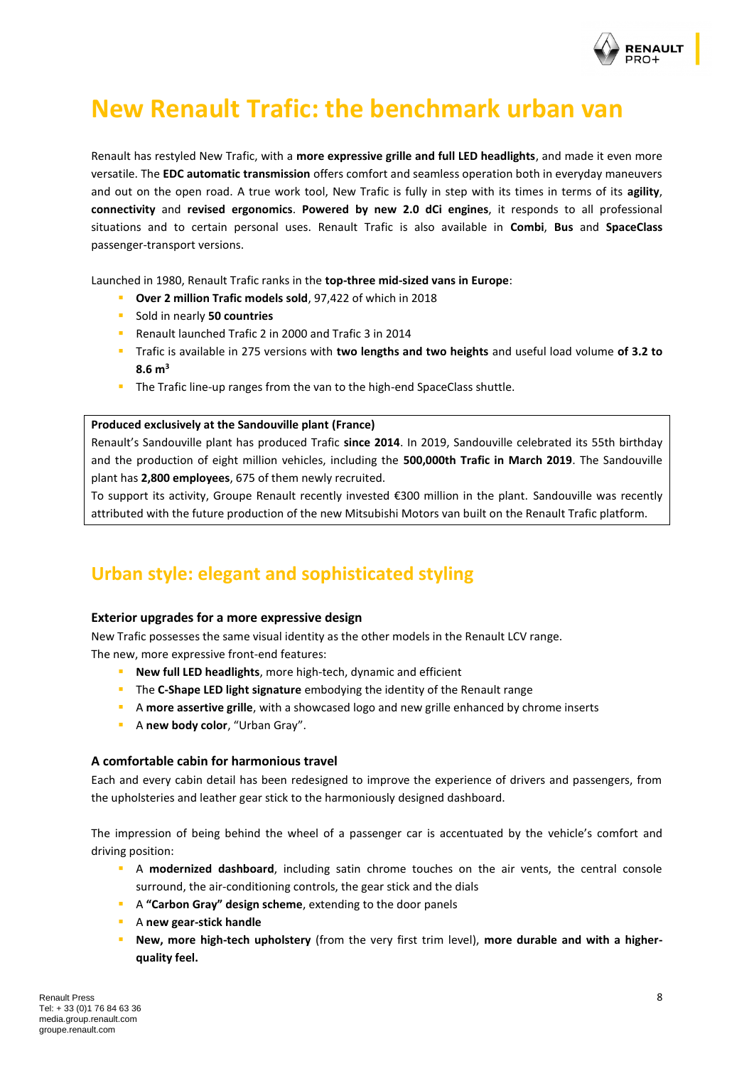

## <span id="page-7-0"></span>**New Renault Trafic: the benchmark urban van**

Renault has restyled New Trafic, with a **more expressive grille and full LED headlights**, and made it even more versatile. The **EDC automatic transmission** offers comfort and seamless operation both in everyday maneuvers and out on the open road. A true work tool, New Trafic is fully in step with its times in terms of its **agility**, **connectivity** and **revised ergonomics**. **Powered by new 2.0 dCi engines**, it responds to all professional situations and to certain personal uses. Renault Trafic is also available in **Combi**, **Bus** and **SpaceClass** passenger-transport versions.

Launched in 1980, Renault Trafic ranks in the **top-three mid-sized vans in Europe**:

- **Over 2 million Trafic models sold**, 97,422 of which in 2018
- Sold in nearly **50 countries**
- Renault launched Trafic 2 in 2000 and Trafic 3 in 2014
- Trafic is available in 275 versions with **two lengths and two heights** and useful load volume **of 3.2 to 8.6 m<sup>3</sup>**
- **·** The Trafic line-up ranges from the van to the high-end SpaceClass shuttle.

#### **Produced exclusively at the Sandouville plant (France)**

Renault's Sandouville plant has produced Trafic **since 2014**. In 2019, Sandouville celebrated its 55th birthday and the production of eight million vehicles, including the **500,000th Trafic in March 2019**. The Sandouville plant has **2,800 employees**, 675 of them newly recruited.

To support its activity, Groupe Renault recently invested €300 million in the plant. Sandouville was recently attributed with the future production of the new Mitsubishi Motors van built on the Renault Trafic platform.

### <span id="page-7-1"></span>**Urban style: elegant and sophisticated styling**

#### **Exterior upgrades for a more expressive design**

New Trafic possesses the same visual identity as the other models in the Renault LCV range. The new, more expressive front-end features:

- **New full LED headlights**, more high-tech, dynamic and efficient
- **.** The **C-Shape LED light signature** embodying the identity of the Renault range
- **EX A more assertive grille**, with a showcased logo and new grille enhanced by chrome inserts
- A **new body color**, "Urban Gray".

#### **A comfortable cabin for harmonious travel**

Each and every cabin detail has been redesigned to improve the experience of drivers and passengers, from the upholsteries and leather gear stick to the harmoniously designed dashboard.

The impression of being behind the wheel of a passenger car is accentuated by the vehicle's comfort and driving position:

- A **modernized dashboard**, including satin chrome touches on the air vents, the central console surround, the air-conditioning controls, the gear stick and the dials
- A **"Carbon Gray" design scheme**, extending to the door panels
- A **new gear-stick handle**
- **New, more high-tech upholstery** (from the very first trim level), **more durable and with a higherquality feel.**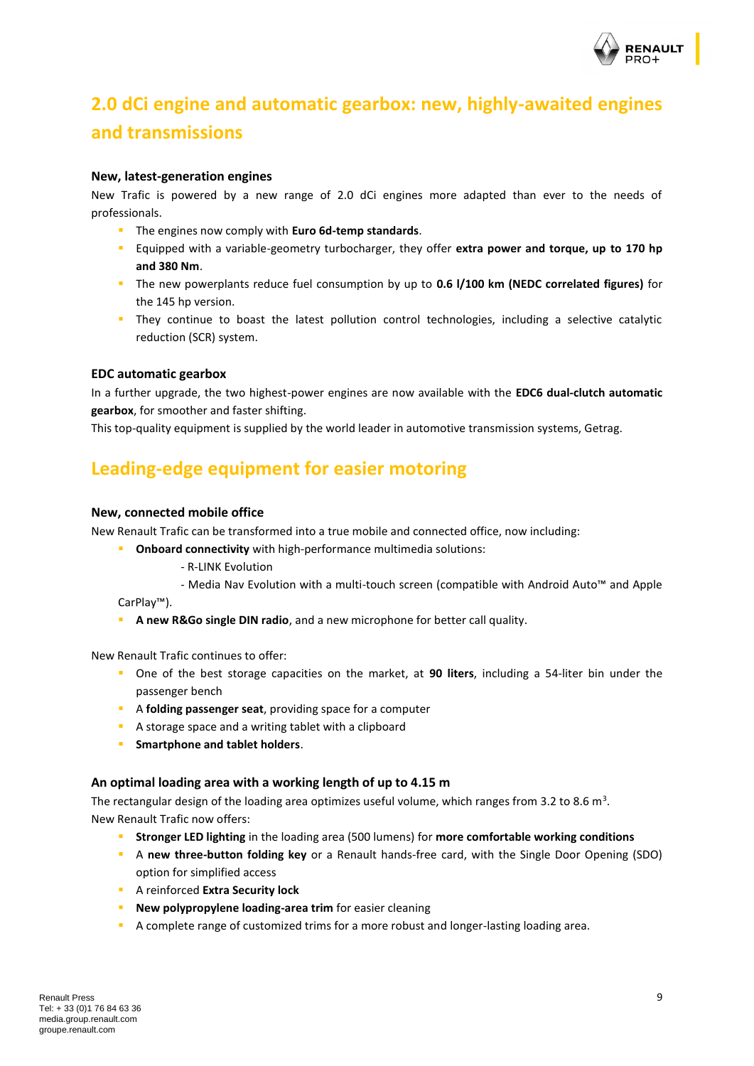

## <span id="page-8-0"></span>**2.0 dCi engine and automatic gearbox: new, highly-awaited engines and transmissions**

#### **New, latest-generation engines**

New Trafic is powered by a new range of 2.0 dCi engines more adapted than ever to the needs of professionals.

- The engines now comply with **Euro 6d-temp standards**.
- Equipped with a variable-geometry turbocharger, they offer **extra power and torque, up to 170 hp and 380 Nm**.
- The new powerplants reduce fuel consumption by up to **0.6 l/100 km (NEDC correlated figures)** for the 145 hp version.
- **.** They continue to boast the latest pollution control technologies, including a selective catalytic reduction (SCR) system.

#### **EDC automatic gearbox**

In a further upgrade, the two highest-power engines are now available with the **EDC6 dual-clutch automatic gearbox**, for smoother and faster shifting.

This top-quality equipment is supplied by the world leader in automotive transmission systems, Getrag.

### <span id="page-8-1"></span>**Leading-edge equipment for easier motoring**

#### **New, connected mobile office**

New Renault Trafic can be transformed into a true mobile and connected office, now including:

- **Onboard connectivity** with high-performance multimedia solutions:
	- R-LINK Evolution
		- Media Nav Evolution with a multi-touch screen (compatible with Android Auto™ and Apple

CarPlay™).

▪ **A new R&Go single DIN radio**, and a new microphone for better call quality.

New Renault Trafic continues to offer:

- One of the best storage capacities on the market, at **90 liters**, including a 54-liter bin under the passenger bench
- A **folding passenger seat**, providing space for a computer
- A storage space and a writing tablet with a clipboard
- **Smartphone and tablet holders**.

#### **An optimal loading area with a working length of up to 4.15 m**

The rectangular design of the loading area optimizes useful volume, which ranges from 3.2 to 8.6 m<sup>3</sup>. New Renault Trafic now offers:

- **EXTED Stronger LED lighting** in the loading area (500 lumens) for more comfortable working conditions
- A **new three-button folding key** or a Renault hands-free card, with the Single Door Opening (SDO) option for simplified access
- A reinforced **Extra Security lock**
- **E** New polypropylene loading-area trim for easier cleaning
- **•** A complete range of customized trims for a more robust and longer-lasting loading area.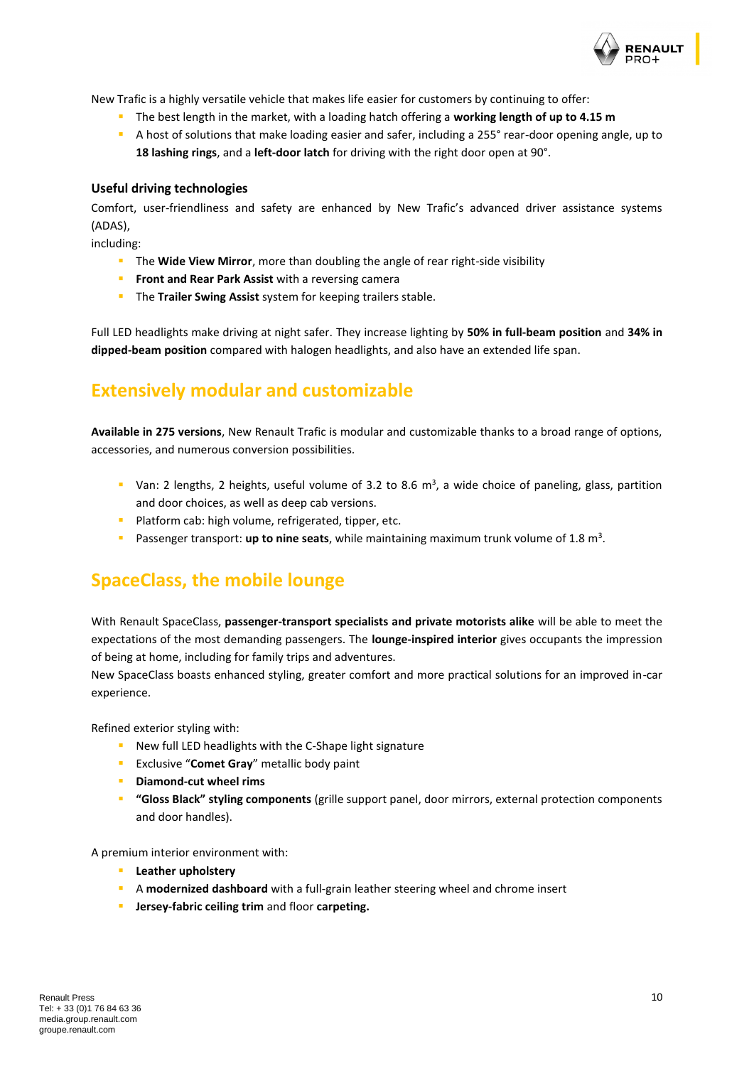

New Trafic is a highly versatile vehicle that makes life easier for customers by continuing to offer:

- The best length in the market, with a loading hatch offering a **working length of up to 4.15 m**
- A host of solutions that make loading easier and safer, including a 255° rear-door opening angle, up to **18 lashing rings**, and a **left-door latch** for driving with the right door open at 90°.

#### **Useful driving technologies**

Comfort, user-friendliness and safety are enhanced by New Trafic's advanced driver assistance systems (ADAS),

including:

- **EXTE:** The Wide View Mirror, more than doubling the angle of rear right-side visibility
- **Front and Rear Park Assist** with a reversing camera
- The **Trailer Swing Assist** system for keeping trailers stable.

Full LED headlights make driving at night safer. They increase lighting by **50% in full-beam position** and **34% in dipped-beam position** compared with halogen headlights, and also have an extended life span.

## <span id="page-9-0"></span>**Extensively modular and customizable**

**Available in 275 versions**, New Renault Trafic is modular and customizable thanks to a broad range of options, accessories, and numerous conversion possibilities.

- **•** Van: 2 lengths, 2 heights, useful volume of 3.2 to 8.6  $m^3$ , a wide choice of paneling, glass, partition and door choices, as well as deep cab versions.
- **·** Platform cab: high volume, refrigerated, tipper, etc.
- **•** Passenger transport: up to nine seats, while maintaining maximum trunk volume of 1.8 m<sup>3</sup>.

## <span id="page-9-1"></span>**SpaceClass, the mobile lounge**

With Renault SpaceClass, **passenger-transport specialists and private motorists alike** will be able to meet the expectations of the most demanding passengers. The **lounge-inspired interior** gives occupants the impression of being at home, including for family trips and adventures.

New SpaceClass boasts enhanced styling, greater comfort and more practical solutions for an improved in-car experience.

Refined exterior styling with:

- New full LED headlights with the C-Shape light signature
- **EXCLUSIVE "Comet Gray"** metallic body paint
- **Diamond-cut wheel rims**
- **"Gloss Black" styling components** (grille support panel, door mirrors, external protection components and door handles).

A premium interior environment with:

- **Leather upholstery**
- A **modernized dashboard** with a full-grain leather steering wheel and chrome insert
- **Jersey-fabric ceiling trim** and floor **carpeting.**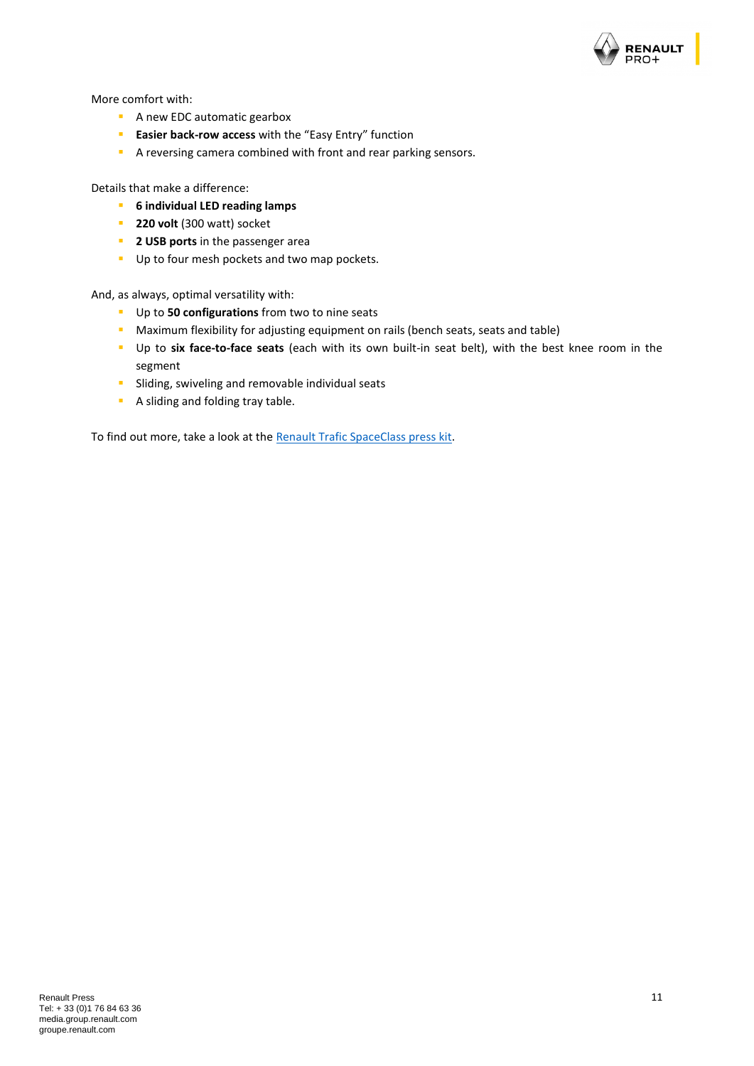

More comfort with:

- **EXEC A new EDC automatic gearbox**
- **Easier back-row access** with the "Easy Entry" function
- A reversing camera combined with front and rear parking sensors.

Details that make a difference:

- **6 individual LED reading lamps**
- **220 volt** (300 watt) socket
- **2 USB ports** in the passenger area
- Up to four mesh pockets and two map pockets.

And, as always, optimal versatility with:

- Up to **50 configurations** from two to nine seats
- **E** Maximum flexibility for adjusting equipment on rails (bench seats, seats and table)
- Up to **six face-to-face seats** (each with its own built-in seat belt), with the best knee room in the segment
- **E** Sliding, swiveling and removable individual seats
- A sliding and folding tray table.

To find out more, take a look at the [Renault Trafic SpaceClass press kit.](https://media.group.renault.com/global/en-gb/download/93222/presskit/pdf)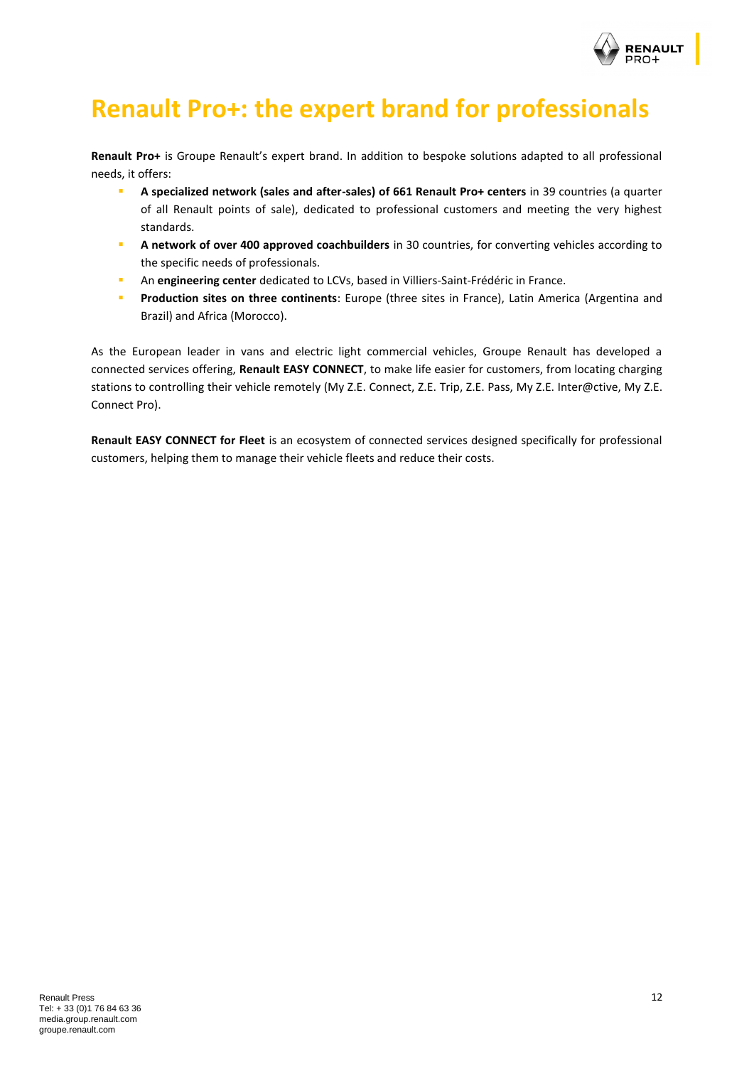

## <span id="page-11-0"></span>**Renault Pro+: the expert brand for professionals**

**Renault Pro+** is Groupe Renault's expert brand. In addition to bespoke solutions adapted to all professional needs, it offers:

- **A specialized network (sales and after-sales) of 661 Renault Pro+ centers** in 39 countries (a quarter of all Renault points of sale), dedicated to professional customers and meeting the very highest standards.
- **A network of over 400 approved coachbuilders** in 30 countries, for converting vehicles according to the specific needs of professionals.
- **In An engineering center** dedicated to LCVs, based in Villiers-Saint-Frédéric in France.
- **Production sites on three continents**: Europe (three sites in France), Latin America (Argentina and Brazil) and Africa (Morocco).

As the European leader in vans and electric light commercial vehicles, Groupe Renault has developed a connected services offering, **Renault EASY CONNECT**, to make life easier for customers, from locating charging stations to controlling their vehicle remotely (My Z.E. Connect, Z.E. Trip, Z.E. Pass, My Z.E. Inter@ctive, My Z.E. Connect Pro).

**[Renault EASY CONNECT for Fleet](https://media.group.renault.com/global/fr-fr/renault/media/presspacks/21204361/renault-master-ze-et-renault-easy-connect-for-fleet-lexpertise-au-service-des-professionnels)** is an ecosystem of connected services designed specifically for professional customers, helping them to manage their vehicle fleets and reduce their costs.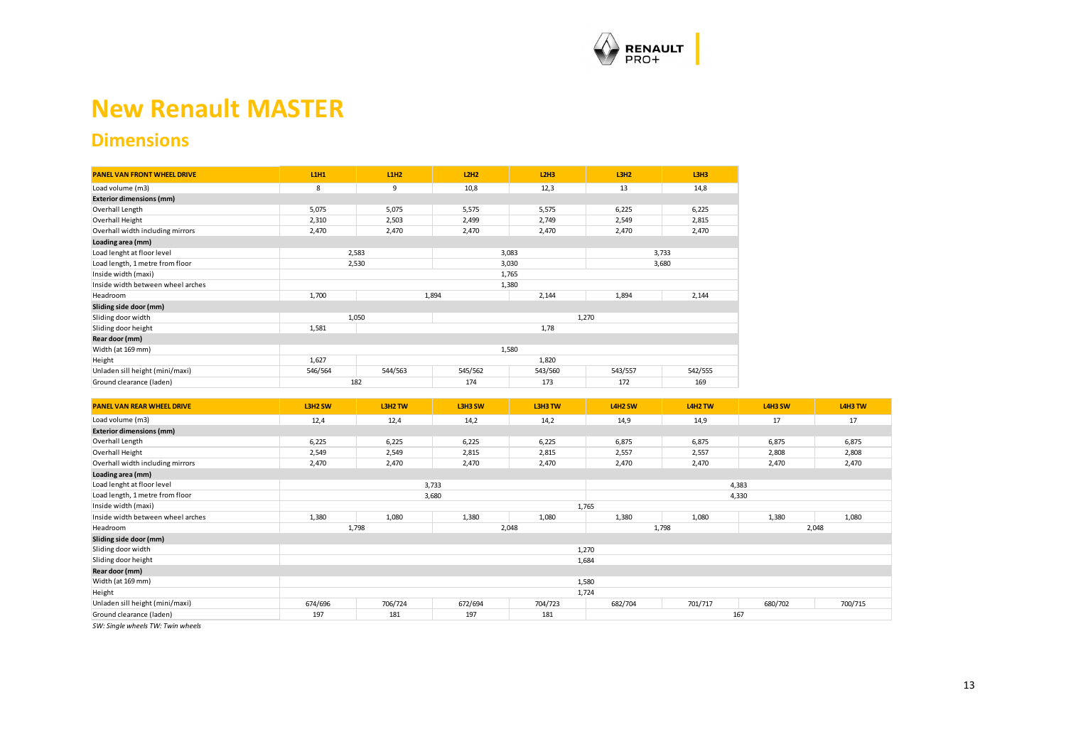

## **New Renault MASTER**

### **Dimensions**

| <b>PANEL VAN FRONT WHEEL DRIVE</b> | <b>L1H1</b> | L1H2    | L2H2    | L2H3    | L3H2    | L3H3    |  |
|------------------------------------|-------------|---------|---------|---------|---------|---------|--|
| Load volume (m3)                   | 8           | 9       | 10,8    | 12,3    | 13      | 14,8    |  |
| <b>Exterior dimensions (mm)</b>    |             |         |         |         |         |         |  |
| Overhall Length                    | 5,075       | 5,075   | 5,575   | 5,575   | 6,225   | 6,225   |  |
| Overhall Height                    | 2,310       | 2,503   | 2,499   | 2,749   | 2,549   | 2,815   |  |
| Overhall width including mirrors   | 2,470       | 2,470   | 2,470   | 2,470   | 2,470   | 2,470   |  |
| Loading area (mm)                  |             |         |         |         |         |         |  |
| Load lenght at floor level         |             | 2,583   | 3,083   |         | 3,733   |         |  |
| Load length, 1 metre from floor    |             | 2,530   | 3,030   |         | 3,680   |         |  |
| Inside width (maxi)                |             |         |         | 1,765   |         |         |  |
| Inside width between wheel arches  |             |         |         | 1,380   |         |         |  |
| Headroom                           | 1,700       |         | 1,894   | 2,144   | 1,894   | 2,144   |  |
| Sliding side door (mm)             |             |         |         |         |         |         |  |
| Sliding door width                 |             | 1,050   |         |         | 1,270   |         |  |
| Sliding door height                | 1,581       |         | 1,78    |         |         |         |  |
| Rear door (mm)                     |             |         |         |         |         |         |  |
| Width (at 169 mm)                  | 1,580       |         |         |         |         |         |  |
| Height                             | 1,627       |         |         | 1,820   |         |         |  |
| Unladen sill height (mini/maxi)    | 546/564     | 544/563 | 545/562 | 543/560 | 543/557 | 542/555 |  |
| Ground clearance (laden)           | 182         |         | 174     | 173     | 172     | 169     |  |

<span id="page-12-0"></span>

| <b>PANEL VAN REAR WHEEL DRIVE</b> | L3H2 SW | L3H2 TW | L3H3 SW | L3H3 TW | L4H2 SW        | L4H2 TW | L4H3 SW | L4H3 TW |
|-----------------------------------|---------|---------|---------|---------|----------------|---------|---------|---------|
| Load volume (m3)                  | 12,4    | 12,4    | 14,2    | 14,2    | 14,9           | 14,9    | 17      | 17      |
| <b>Exterior dimensions (mm)</b>   |         |         |         |         |                |         |         |         |
| Overhall Length                   | 6,225   | 6,225   | 6,225   | 6,225   | 6,875          | 6,875   | 6,875   | 6,875   |
| Overhall Height                   | 2,549   | 2,549   | 2,815   | 2,815   | 2,557          | 2,557   | 2,808   | 2,808   |
| Overhall width including mirrors  | 2,470   | 2,470   | 2,470   | 2,470   | 2,470          | 2,470   | 2,470   | 2,470   |
| Loading area (mm)                 |         |         |         |         |                |         |         |         |
| Load lenght at floor level        |         | 3,733   |         |         |                |         | 4,383   |         |
| Load length, 1 metre from floor   |         | 3,680   |         |         |                |         | 4,330   |         |
| Inside width (maxi)               |         |         |         |         | 1,765          |         |         |         |
| Inside width between wheel arches | 1,380   | 1,080   | 1,380   | 1,080   | 1,380          | 1,080   | 1,380   | 1,080   |
| Headroom                          |         | 1,798   |         | 2,048   | 2,048<br>1,798 |         |         |         |
| Sliding side door (mm)            |         |         |         |         |                |         |         |         |
| Sliding door width                |         |         |         |         | 1,270          |         |         |         |
| Sliding door height               |         |         |         |         | 1,684          |         |         |         |
| Rear door (mm)                    |         |         |         |         |                |         |         |         |
| Width (at 169 mm)                 |         |         |         |         | 1,580          |         |         |         |
| Height                            | 1,724   |         |         |         |                |         |         |         |
| Unladen sill height (mini/maxi)   | 674/696 | 706/724 | 672/694 | 704/723 | 682/704        | 701/717 | 680/702 | 700/715 |
| Ground clearance (laden)          | 197     | 181     | 197     | 181     |                | 167     |         |         |

*SW: Single wheels TW: Twin wheels*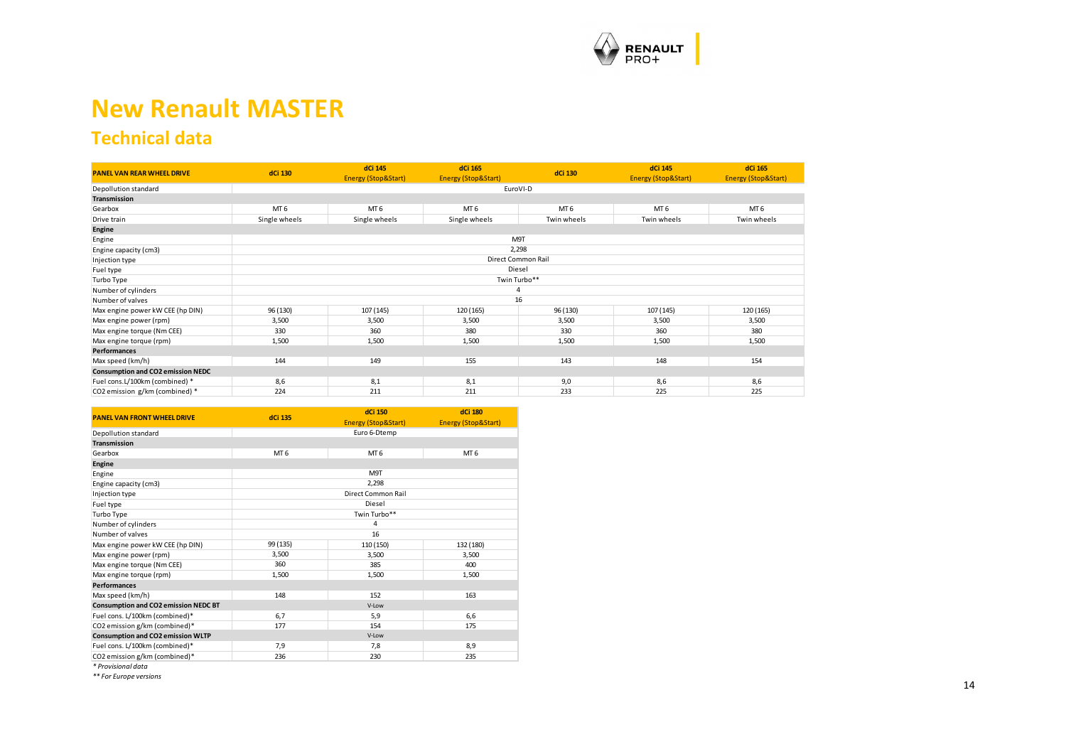

## **New Renault MASTER**

## **Technical data**

| <b>PANEL VAN REAR WHEEL DRIVE</b>        | dCi 130         | dCi 145<br><b>Energy (Stop&amp;Start)</b> | dCi 165<br><b>Energy (Stop&amp;Start)</b> | dCi 130            | dCi 145<br><b>Energy (Stop&amp;Start)</b> | dCi 165<br><b>Energy (Stop&amp;Start)</b> |  |
|------------------------------------------|-----------------|-------------------------------------------|-------------------------------------------|--------------------|-------------------------------------------|-------------------------------------------|--|
| Depollution standard                     |                 | EuroVI-D                                  |                                           |                    |                                           |                                           |  |
| Transmission                             |                 |                                           |                                           |                    |                                           |                                           |  |
| Gearbox                                  | MT <sub>6</sub> | MT <sub>6</sub>                           | MT <sub>6</sub>                           | MT <sub>6</sub>    | MT <sub>6</sub>                           | MT <sub>6</sub>                           |  |
| Drive train                              | Single wheels   | Single wheels                             | Single wheels                             | Twin wheels        | Twin wheels                               | Twin wheels                               |  |
| Engine                                   |                 |                                           |                                           |                    |                                           |                                           |  |
| Engine                                   |                 |                                           |                                           | M9T                |                                           |                                           |  |
| Engine capacity (cm3)                    |                 |                                           |                                           | 2,298              |                                           |                                           |  |
| Injection type                           |                 |                                           |                                           | Direct Common Rail |                                           |                                           |  |
| Fuel type                                |                 |                                           |                                           | Diesel             |                                           |                                           |  |
| Turbo Type                               |                 |                                           |                                           | Twin Turbo**       |                                           |                                           |  |
| Number of cylinders                      |                 |                                           |                                           |                    |                                           |                                           |  |
| Number of valves                         |                 |                                           |                                           | 16                 |                                           |                                           |  |
| Max engine power kW CEE (hp DIN)         | 96 (130)        | 107 (145)                                 | 120 (165)                                 | 96 (130)           | 107 (145)                                 | 120 (165)                                 |  |
| Max engine power (rpm)                   | 3,500           | 3,500                                     | 3,500                                     | 3,500              | 3,500                                     | 3,500                                     |  |
| Max engine torque (Nm CEE)               | 330             | 360                                       | 380                                       | 330                | 360                                       | 380                                       |  |
| Max engine torque (rpm)                  | 1,500           | 1,500                                     | 1,500                                     | 1,500              | 1,500                                     | 1,500                                     |  |
| <b>Performances</b>                      |                 |                                           |                                           |                    |                                           |                                           |  |
| Max speed (km/h)                         | 144             | 149                                       | 155                                       | 143                | 148                                       | 154                                       |  |
| <b>Consumption and CO2 emission NEDC</b> |                 |                                           |                                           |                    |                                           |                                           |  |
| Fuel cons.L/100km (combined) *           | 8,6             | 8,1                                       | 8,1                                       | 9,0                | 8,6                                       | 8,6                                       |  |
| CO2 emission g/km (combined) *           | 224             | 211                                       | 211                                       | 233                | 225                                       | 225                                       |  |

<span id="page-13-0"></span>

| <b>PANEL VAN FRONT WHEEL DRIVE</b>          | dCi 135         | <b>dCi 150</b>      | dCi 180                        |
|---------------------------------------------|-----------------|---------------------|--------------------------------|
|                                             |                 | Energy (Stop&Start) | <b>Energy (Stop&amp;Start)</b> |
| Depollution standard                        |                 | Euro 6-Dtemp        |                                |
| Transmission                                |                 |                     |                                |
| Gearbox                                     | MT <sub>6</sub> | MT <sub>6</sub>     | MT <sub>6</sub>                |
| Engine                                      |                 |                     |                                |
| Engine                                      |                 | M9T                 |                                |
| Engine capacity (cm3)                       |                 | 2,298               |                                |
| Injection type                              |                 | Direct Common Rail  |                                |
| Fuel type                                   |                 | Diesel              |                                |
| Turbo Type                                  |                 | Twin Turbo**        |                                |
| Number of cylinders                         |                 | 4                   |                                |
| Number of valves                            |                 | 16                  |                                |
| Max engine power kW CEE (hp DIN)            | 99 (135)        | 110 (150)           | 132 (180)                      |
| Max engine power (rpm)                      | 3,500           | 3,500               | 3,500                          |
| Max engine torque (Nm CEE)                  | 360             | 385                 | 400                            |
| Max engine torque (rpm)                     | 1,500           | 1,500               | 1,500                          |
| <b>Performances</b>                         |                 |                     |                                |
| Max speed (km/h)                            | 148             | 152                 | 163                            |
| <b>Consumption and CO2 emission NEDC BT</b> |                 | V-Low               |                                |
| Fuel cons. L/100km (combined)*              | 6,7             | 5,9                 | 6,6                            |
| CO2 emission g/km (combined)*               | 177             | 154                 | 175                            |
| Consumption and CO2 emission WLTP           |                 | V-Low               |                                |
| Fuel cons. L/100km (combined)*              | 7,9             | 7,8                 | 8,9                            |
| CO2 emission g/km (combined)*               | 236             | 230                 | 235                            |

*\* Provisional data*

*\*\* For Europe versions*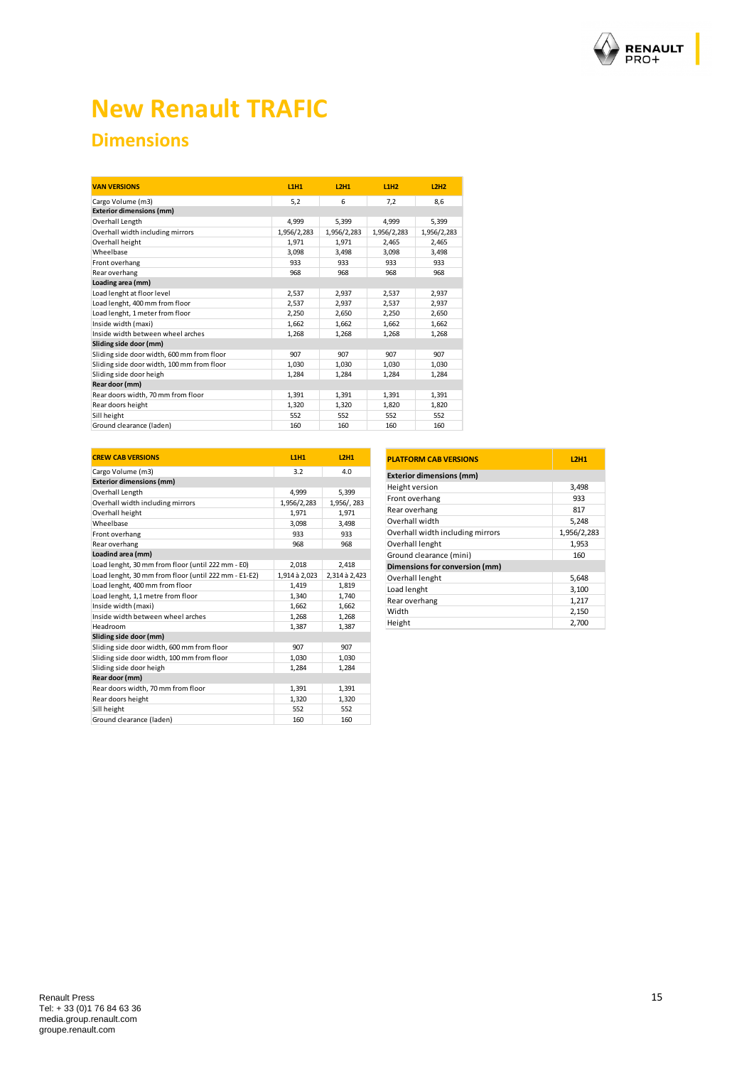

## **New Renault TRAFIC**

## **Dimensions**

| <b>VAN VERSIONS</b>                        | <b>L1H1</b> | <b>L2H1</b> | L1H2        | L2H2        |
|--------------------------------------------|-------------|-------------|-------------|-------------|
| Cargo Volume (m3)                          | 5,2         | 6           | 7.2         | 8.6         |
| <b>Exterior dimensions (mm)</b>            |             |             |             |             |
| Overhall Length                            | 4.999       | 5.399       | 4.999       | 5,399       |
| Overhall width including mirrors           | 1,956/2,283 | 1,956/2,283 | 1,956/2,283 | 1,956/2,283 |
| Overhall height                            | 1.971       | 1.971       | 2.465       | 2,465       |
| Wheelbase                                  | 3.098       | 3.498       | 3,098       | 3.498       |
| Front overhang                             | 933         | 933         | 933         | 933         |
| Rear overhang                              | 968         | 968         | 968         | 968         |
| Loading area (mm)                          |             |             |             |             |
| Load lenght at floor level                 | 2.537       | 2.937       | 2.537       | 2,937       |
| Load lenght, 400 mm from floor             | 2.537       | 2.937       | 2.537       | 2,937       |
| Load lenght, 1 meter from floor            | 2,250       | 2,650       | 2,250       | 2,650       |
| Inside width (maxi)                        | 1.662       | 1.662       | 1.662       | 1.662       |
| Inside width between wheel arches          | 1.268       | 1,268       | 1.268       | 1.268       |
| Sliding side door (mm)                     |             |             |             |             |
| Sliding side door width, 600 mm from floor | 907         | 907         | 907         | 907         |
| Sliding side door width, 100 mm from floor | 1,030       | 1,030       | 1,030       | 1,030       |
| Sliding side door heigh                    | 1,284       | 1,284       | 1,284       | 1,284       |
| Rear door (mm)                             |             |             |             |             |
| Rear doors width, 70 mm from floor         | 1.391       | 1,391       | 1.391       | 1.391       |
| Rear doors height                          | 1,320       | 1,320       | 1,820       | 1,820       |
| Sill height                                | 552         | 552         | 552         | 552         |
| Ground clearance (laden)                   | 160         | 160         | 160         | 160         |

| <b>CREW CAB VERSIONS</b>                             | <b>L1H1</b>   | <b>L2H1</b>   |
|------------------------------------------------------|---------------|---------------|
| Cargo Volume (m3)                                    | 3.2           | 4.0           |
| <b>Exterior dimensions (mm)</b>                      |               |               |
| Overhall Length                                      | 4.999         | 5,399         |
| Overhall width including mirrors                     | 1,956/2,283   | 1,956/, 283   |
| Overhall height                                      | 1,971         | 1,971         |
| Wheelbase                                            | 3,098         | 3,498         |
| Front overhang                                       | 933           | 933           |
| Rear overhang                                        | 968           | 968           |
| Loadind area (mm)                                    |               |               |
| Load lenght, 30 mm from floor (until 222 mm - E0)    | 2,018         | 2,418         |
| Load lenght, 30 mm from floor (until 222 mm - E1-E2) | 1,914 à 2,023 | 2,314 à 2,423 |
| Load lenght, 400 mm from floor                       | 1.419         | 1,819         |
| Load lenght, 1,1 metre from floor                    | 1,340         | 1,740         |
| Inside width (maxi)                                  | 1.662         | 1,662         |
| Inside width between wheel arches                    | 1,268         | 1,268         |
| Headroom                                             | 1,387         | 1,387         |
| Sliding side door (mm)                               |               |               |
| Sliding side door width, 600 mm from floor           | 907           | 907           |
| Sliding side door width, 100 mm from floor           | 1,030         | 1,030         |
| Sliding side door heigh                              | 1.284         | 1.284         |
| Rear door (mm)                                       |               |               |
| Rear doors width, 70 mm from floor                   | 1,391         | 1,391         |
| Rear doors height                                    | 1,320         | 1,320         |
| Sill height                                          | 552           | 552           |
| Ground clearance (laden)                             | 160           | 160           |

| <b>PLATFORM CAB VERSIONS</b>     | <b>L2H1</b> |
|----------------------------------|-------------|
| <b>Exterior dimensions (mm)</b>  |             |
| Height version                   | 3,498       |
| Front overhang                   | 933         |
| Rear overhang                    | 817         |
| Overhall width                   | 5,248       |
| Overhall width including mirrors | 1,956/2,283 |
| Overhall lenght                  | 1,953       |
| Ground clearance (mini)          | 160         |
| Dimensions for conversion (mm)   |             |
| Overhall lenght                  | 5,648       |
| Load lenght                      | 3,100       |
| Rear overhang                    | 1,217       |
| Width                            | 2,150       |
| Height                           | 2,700       |
|                                  |             |